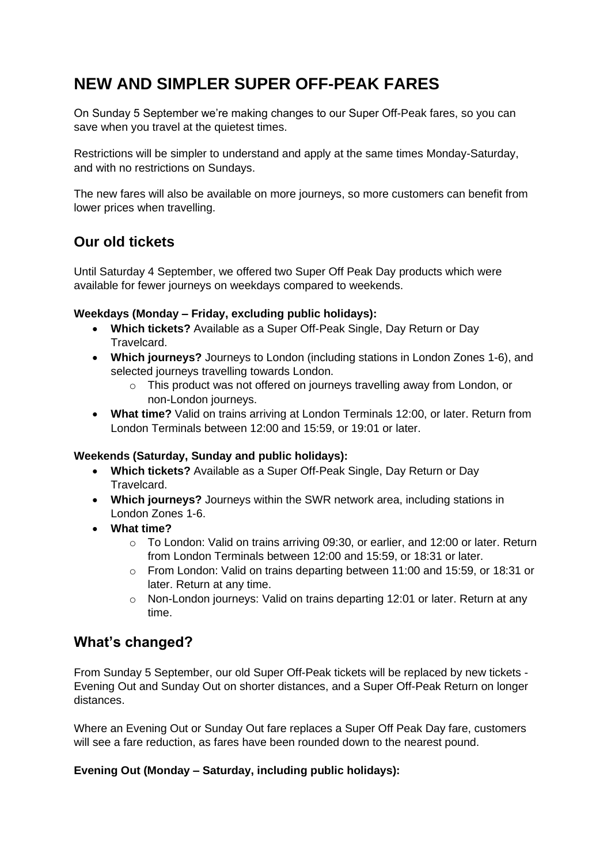# **NEW AND SIMPLER SUPER OFF-PEAK FARES**

On Sunday 5 September we're making changes to our Super Off-Peak fares, so you can save when you travel at the quietest times.

Restrictions will be simpler to understand and apply at the same times Monday-Saturday, and with no restrictions on Sundays.

The new fares will also be available on more journeys, so more customers can benefit from lower prices when travelling.

## **Our old tickets**

Until Saturday 4 September, we offered two Super Off Peak Day products which were available for fewer journeys on weekdays compared to weekends.

### **Weekdays (Monday – Friday, excluding public holidays):**

- **Which tickets?** Available as a Super Off-Peak Single, Day Return or Day Travelcard.
- **Which journeys?** Journeys to London (including stations in London Zones 1-6), and selected journeys travelling towards London.
	- o This product was not offered on journeys travelling away from London, or non-London journeys.
- **What time?** Valid on trains arriving at London Terminals 12:00, or later. Return from London Terminals between 12:00 and 15:59, or 19:01 or later.

### **Weekends (Saturday, Sunday and public holidays):**

- **Which tickets?** Available as a Super Off-Peak Single, Day Return or Day **Travelcard.**
- **Which journeys?** Journeys within the SWR network area, including stations in London Zones 1-6.
- **What time?**
	- o To London: Valid on trains arriving 09:30, or earlier, and 12:00 or later. Return from London Terminals between 12:00 and 15:59, or 18:31 or later.
	- o From London: Valid on trains departing between 11:00 and 15:59, or 18:31 or later. Return at any time.
	- o Non-London journeys: Valid on trains departing 12:01 or later. Return at any time.

### **What's changed?**

From Sunday 5 September, our old Super Off-Peak tickets will be replaced by new tickets - Evening Out and Sunday Out on shorter distances, and a Super Off-Peak Return on longer distances.

Where an Evening Out or Sunday Out fare replaces a Super Off Peak Day fare, customers will see a fare reduction, as fares have been rounded down to the nearest pound.

### **Evening Out (Monday – Saturday, including public holidays):**